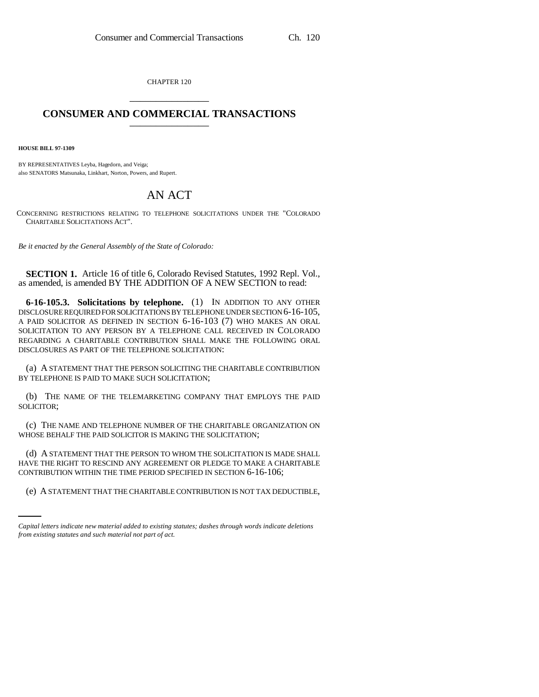CHAPTER 120 \_\_\_\_\_\_\_\_\_\_\_\_\_\_\_

## **CONSUMER AND COMMERCIAL TRANSACTIONS** \_\_\_\_\_\_\_\_\_\_\_\_\_\_\_

**HOUSE BILL 97-1309**

BY REPRESENTATIVES Leyba, Hagedorn, and Veiga; also SENATORS Matsunaka, Linkhart, Norton, Powers, and Rupert.

## AN ACT

CONCERNING RESTRICTIONS RELATING TO TELEPHONE SOLICITATIONS UNDER THE "COLORADO CHARITABLE SOLICITATIONS ACT".

*Be it enacted by the General Assembly of the State of Colorado:*

**SECTION 1.** Article 16 of title 6, Colorado Revised Statutes, 1992 Repl. Vol., as amended, is amended BY THE ADDITION OF A NEW SECTION to read:

**6-16-105.3. Solicitations by telephone.** (1) IN ADDITION TO ANY OTHER DISCLOSURE REQUIRED FOR SOLICITATIONS BY TELEPHONE UNDER SECTION 6-16-105, A PAID SOLICITOR AS DEFINED IN SECTION 6-16-103 (7) WHO MAKES AN ORAL SOLICITATION TO ANY PERSON BY A TELEPHONE CALL RECEIVED IN COLORADO REGARDING A CHARITABLE CONTRIBUTION SHALL MAKE THE FOLLOWING ORAL DISCLOSURES AS PART OF THE TELEPHONE SOLICITATION:

(a) A STATEMENT THAT THE PERSON SOLICITING THE CHARITABLE CONTRIBUTION BY TELEPHONE IS PAID TO MAKE SUCH SOLICITATION;

(b) THE NAME OF THE TELEMARKETING COMPANY THAT EMPLOYS THE PAID SOLICITOR;

(c) THE NAME AND TELEPHONE NUMBER OF THE CHARITABLE ORGANIZATION ON WHOSE BEHALF THE PAID SOLICITOR IS MAKING THE SOLICITATION;

CONTRIBUTION WITHIN THE TIME PERIOD SPECIFIED IN SECTION 6-16-106; (d) A STATEMENT THAT THE PERSON TO WHOM THE SOLICITATION IS MADE SHALL HAVE THE RIGHT TO RESCIND ANY AGREEMENT OR PLEDGE TO MAKE A CHARITABLE

(e) A STATEMENT THAT THE CHARITABLE CONTRIBUTION IS NOT TAX DEDUCTIBLE,

*Capital letters indicate new material added to existing statutes; dashes through words indicate deletions from existing statutes and such material not part of act.*